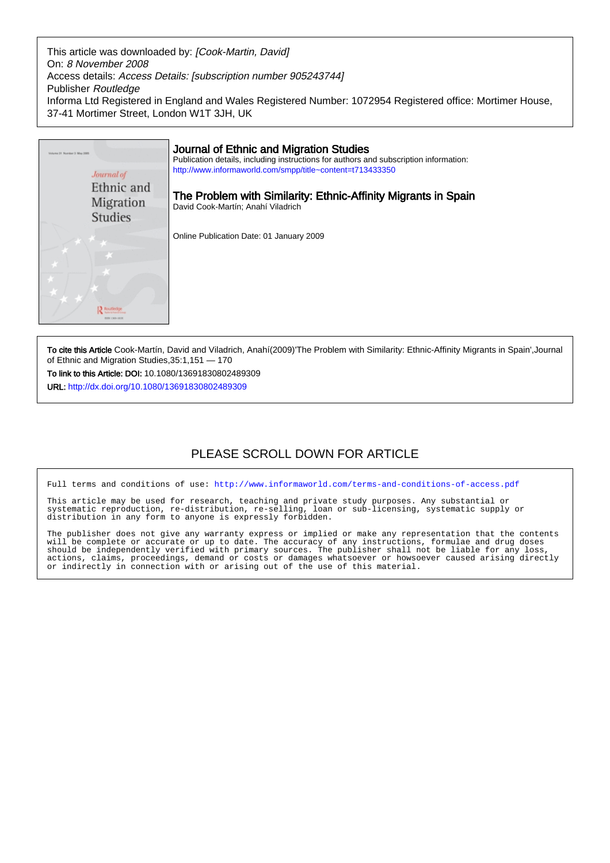This article was downloaded by: [Cook-Martin, David] On: 8 November 2008 Access details: Access Details: [subscription number 905243744] Publisher Routledge Informa Ltd Registered in England and Wales Registered Number: 1072954 Registered office: Mortimer House, 37-41 Mortimer Street, London W1T 3JH, UK



To cite this Article Cook-Martín, David and Viladrich, Anahí(2009)'The Problem with Similarity: Ethnic-Affinity Migrants in Spain',Journal of Ethnic and Migration Studies,35:1,151 — 170

To link to this Article: DOI: 10.1080/13691830802489309

URL: <http://dx.doi.org/10.1080/13691830802489309>

# PLEASE SCROLL DOWN FOR ARTICLE

Full terms and conditions of use:<http://www.informaworld.com/terms-and-conditions-of-access.pdf>

This article may be used for research, teaching and private study purposes. Any substantial or systematic reproduction, re-distribution, re-selling, loan or sub-licensing, systematic supply or distribution in any form to anyone is expressly forbidden.

The publisher does not give any warranty express or implied or make any representation that the contents will be complete or accurate or up to date. The accuracy of any instructions, formulae and drug doses should be independently verified with primary sources. The publisher shall not be liable for any loss, actions, claims, proceedings, demand or costs or damages whatsoever or howsoever caused arising directly or indirectly in connection with or arising out of the use of this material.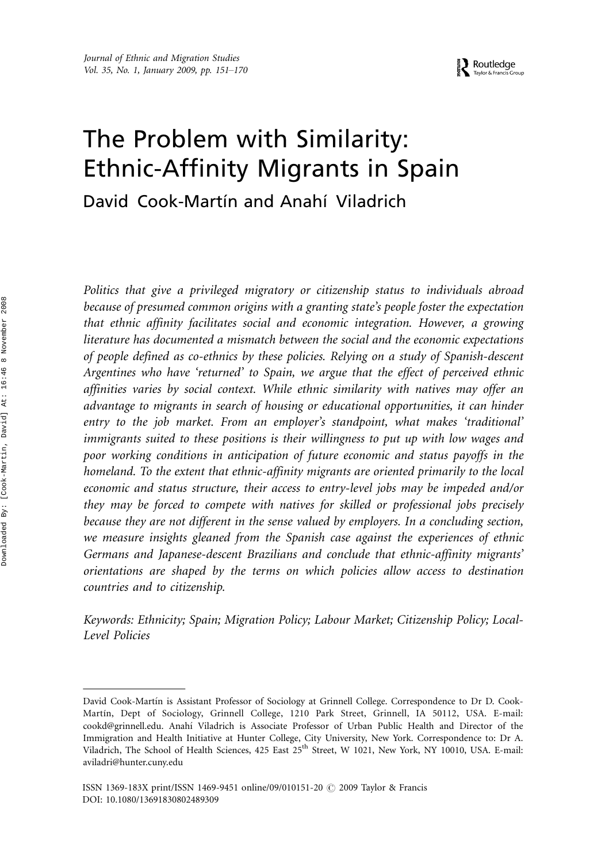

# The Problem with Similarity: Ethnic-Affinity Migrants in Spain David Cook-Martín and Anahí Viladrich

Politics that give a privileged migratory or citizenship status to individuals abroad because of presumed common origins with a granting state's people foster the expectation that ethnic affinity facilitates social and economic integration. However, a growing literature has documented a mismatch between the social and the economic expectations of people defined as co-ethnics by these policies. Relying on a study of Spanish-descent Argentines who have 'returned' to Spain, we argue that the effect of perceived ethnic affinities varies by social context. While ethnic similarity with natives may offer an advantage to migrants in search of housing or educational opportunities, it can hinder entry to the job market. From an employer's standpoint, what makes 'traditional' immigrants suited to these positions is their willingness to put up with low wages and poor working conditions in anticipation of future economic and status payoffs in the homeland. To the extent that ethnic-affinity migrants are oriented primarily to the local economic and status structure, their access to entry-level jobs may be impeded and/or they may be forced to compete with natives for skilled or professional jobs precisely because they are not different in the sense valued by employers. In a concluding section, we measure insights gleaned from the Spanish case against the experiences of ethnic Germans and Japanese-descent Brazilians and conclude that ethnic-affinity migrants' orientations are shaped by the terms on which policies allow access to destination countries and to citizenship.

Keywords: Ethnicity; Spain; Migration Policy; Labour Market; Citizenship Policy; Local-Level Policies

David Cook-Martín is Assistant Professor of Sociology at Grinnell College. Correspondence to Dr D. Cook-Martín, Dept of Sociology, Grinnell College, 1210 Park Street, Grinnell, IA 50112, USA. E-mail: cookd@grinnell.edu. Anahı´ Viladrich is Associate Professor of Urban Public Health and Director of the Immigration and Health Initiative at Hunter College, City University, New York. Correspondence to: Dr A. Viladrich, The School of Health Sciences, 425 East 25<sup>th</sup> Street, W 1021, New York, NY 10010, USA. E-mail: aviladri@hunter.cuny.edu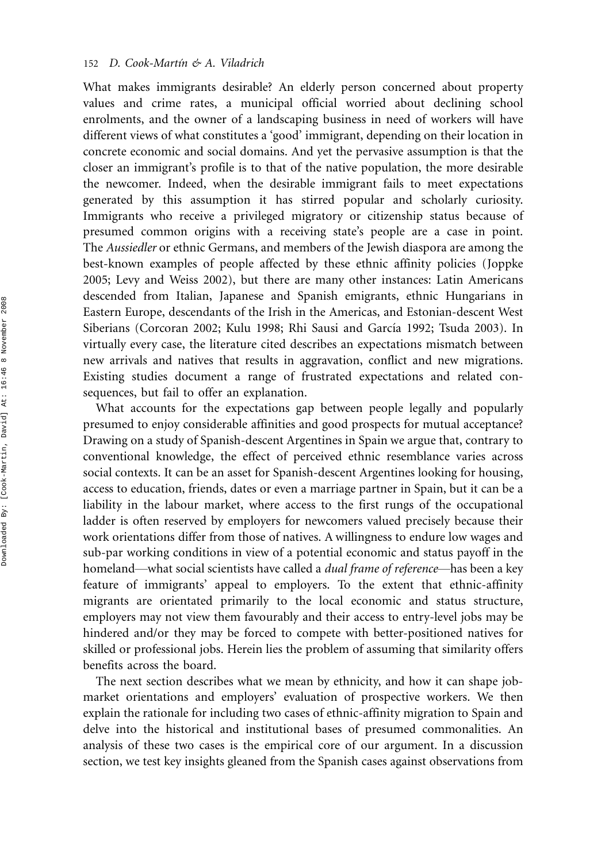What makes immigrants desirable? An elderly person concerned about property values and crime rates, a municipal official worried about declining school enrolments, and the owner of a landscaping business in need of workers will have different views of what constitutes a 'good' immigrant, depending on their location in concrete economic and social domains. And yet the pervasive assumption is that the closer an immigrant's profile is to that of the native population, the more desirable the newcomer. Indeed, when the desirable immigrant fails to meet expectations generated by this assumption it has stirred popular and scholarly curiosity. Immigrants who receive a privileged migratory or citizenship status because of presumed common origins with a receiving state's people are a case in point. The Aussiedler or ethnic Germans, and members of the Jewish diaspora are among the best-known examples of people affected by these ethnic affinity policies (Joppke 2005; Levy and Weiss 2002), but there are many other instances: Latin Americans descended from Italian, Japanese and Spanish emigrants, ethnic Hungarians in Eastern Europe, descendants of the Irish in the Americas, and Estonian-descent West Siberians (Corcoran 2002; Kulu 1998; Rhi Sausi and García 1992; Tsuda 2003). In virtually every case, the literature cited describes an expectations mismatch between new arrivals and natives that results in aggravation, conflict and new migrations. Existing studies document a range of frustrated expectations and related consequences, but fail to offer an explanation.

What accounts for the expectations gap between people legally and popularly presumed to enjoy considerable affinities and good prospects for mutual acceptance? Drawing on a study of Spanish-descent Argentines in Spain we argue that, contrary to conventional knowledge, the effect of perceived ethnic resemblance varies across social contexts. It can be an asset for Spanish-descent Argentines looking for housing, access to education, friends, dates or even a marriage partner in Spain, but it can be a liability in the labour market, where access to the first rungs of the occupational ladder is often reserved by employers for newcomers valued precisely because their work orientations differ from those of natives. A willingness to endure low wages and sub-par working conditions in view of a potential economic and status payoff in the homeland—what social scientists have called a *dual frame of reference*—has been a key feature of immigrants' appeal to employers. To the extent that ethnic-affinity migrants are orientated primarily to the local economic and status structure, employers may not view them favourably and their access to entry-level jobs may be hindered and/or they may be forced to compete with better-positioned natives for skilled or professional jobs. Herein lies the problem of assuming that similarity offers benefits across the board.

The next section describes what we mean by ethnicity, and how it can shape jobmarket orientations and employers' evaluation of prospective workers. We then explain the rationale for including two cases of ethnic-affinity migration to Spain and delve into the historical and institutional bases of presumed commonalities. An analysis of these two cases is the empirical core of our argument. In a discussion section, we test key insights gleaned from the Spanish cases against observations from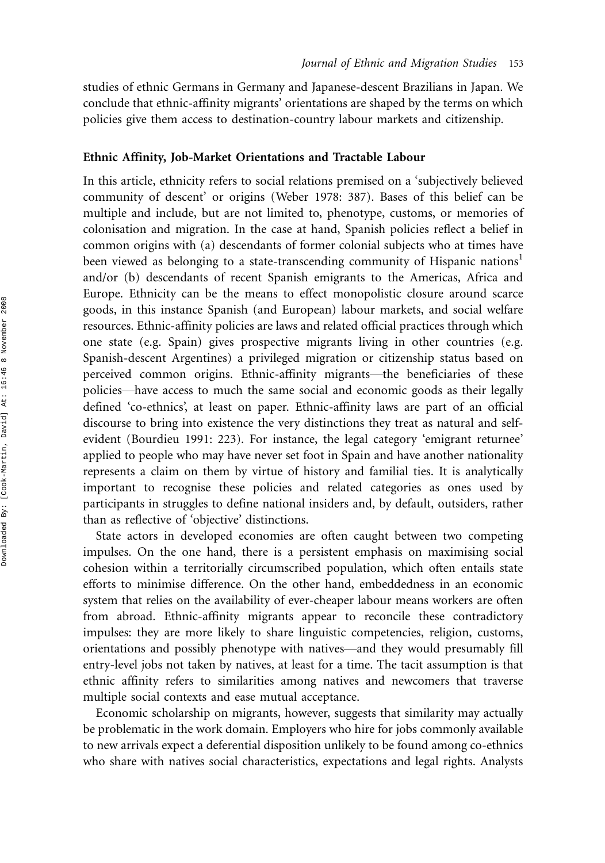studies of ethnic Germans in Germany and Japanese-descent Brazilians in Japan. We conclude that ethnic-affinity migrants' orientations are shaped by the terms on which policies give them access to destination-country labour markets and citizenship.

#### Ethnic Affinity, Job-Market Orientations and Tractable Labour

In this article, ethnicity refers to social relations premised on a 'subjectively believed community of descent' or origins (Weber 1978: 387). Bases of this belief can be multiple and include, but are not limited to, phenotype, customs, or memories of colonisation and migration. In the case at hand, Spanish policies reflect a belief in common origins with (a) descendants of former colonial subjects who at times have been viewed as belonging to a state-transcending community of Hispanic nations<sup>1</sup> and/or (b) descendants of recent Spanish emigrants to the Americas, Africa and Europe. Ethnicity can be the means to effect monopolistic closure around scarce goods, in this instance Spanish (and European) labour markets, and social welfare resources. Ethnic-affinity policies are laws and related official practices through which one state (e.g. Spain) gives prospective migrants living in other countries (e.g. Spanish-descent Argentines) a privileged migration or citizenship status based on perceived common origins. Ethnic-affinity migrants—the beneficiaries of these policies\*have access to much the same social and economic goods as their legally defined 'co-ethnics', at least on paper. Ethnic-affinity laws are part of an official discourse to bring into existence the very distinctions they treat as natural and selfevident (Bourdieu 1991: 223). For instance, the legal category 'emigrant returnee' applied to people who may have never set foot in Spain and have another nationality represents a claim on them by virtue of history and familial ties. It is analytically important to recognise these policies and related categories as ones used by participants in struggles to define national insiders and, by default, outsiders, rather than as reflective of 'objective' distinctions.

State actors in developed economies are often caught between two competing impulses. On the one hand, there is a persistent emphasis on maximising social cohesion within a territorially circumscribed population, which often entails state efforts to minimise difference. On the other hand, embeddedness in an economic system that relies on the availability of ever-cheaper labour means workers are often from abroad. Ethnic-affinity migrants appear to reconcile these contradictory impulses: they are more likely to share linguistic competencies, religion, customs, orientations and possibly phenotype with natives—and they would presumably fill entry-level jobs not taken by natives, at least for a time. The tacit assumption is that ethnic affinity refers to similarities among natives and newcomers that traverse multiple social contexts and ease mutual acceptance.

Economic scholarship on migrants, however, suggests that similarity may actually be problematic in the work domain. Employers who hire for jobs commonly available to new arrivals expect a deferential disposition unlikely to be found among co-ethnics who share with natives social characteristics, expectations and legal rights. Analysts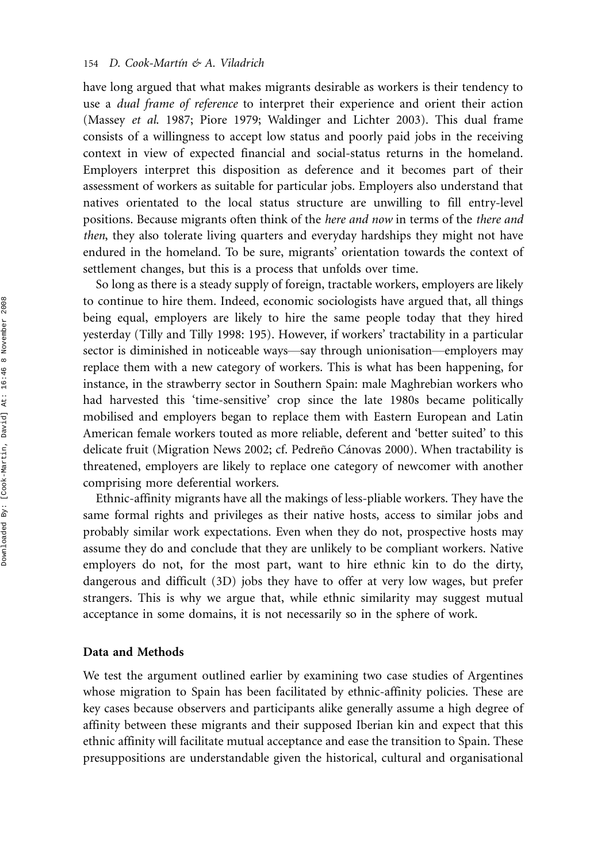have long argued that what makes migrants desirable as workers is their tendency to use a dual frame of reference to interpret their experience and orient their action (Massey et al. 1987; Piore 1979; Waldinger and Lichter 2003). This dual frame consists of a willingness to accept low status and poorly paid jobs in the receiving context in view of expected financial and social-status returns in the homeland. Employers interpret this disposition as deference and it becomes part of their assessment of workers as suitable for particular jobs. Employers also understand that natives orientated to the local status structure are unwilling to fill entry-level positions. Because migrants often think of the here and now in terms of the there and then, they also tolerate living quarters and everyday hardships they might not have endured in the homeland. To be sure, migrants' orientation towards the context of settlement changes, but this is a process that unfolds over time.

So long as there is a steady supply of foreign, tractable workers, employers are likely to continue to hire them. Indeed, economic sociologists have argued that, all things being equal, employers are likely to hire the same people today that they hired yesterday (Tilly and Tilly 1998: 195). However, if workers' tractability in a particular sector is diminished in noticeable ways—say through unionisation—employers may replace them with a new category of workers. This is what has been happening, for instance, in the strawberry sector in Southern Spain: male Maghrebian workers who had harvested this 'time-sensitive' crop since the late 1980s became politically mobilised and employers began to replace them with Eastern European and Latin American female workers touted as more reliable, deferent and 'better suited' to this delicate fruit (Migration News 2002; cf. Pedreño Cánovas 2000). When tractability is threatened, employers are likely to replace one category of newcomer with another comprising more deferential workers.

Ethnic-affinity migrants have all the makings of less-pliable workers. They have the same formal rights and privileges as their native hosts, access to similar jobs and probably similar work expectations. Even when they do not, prospective hosts may assume they do and conclude that they are unlikely to be compliant workers. Native employers do not, for the most part, want to hire ethnic kin to do the dirty, dangerous and difficult (3D) jobs they have to offer at very low wages, but prefer strangers. This is why we argue that, while ethnic similarity may suggest mutual acceptance in some domains, it is not necessarily so in the sphere of work.

# Data and Methods

We test the argument outlined earlier by examining two case studies of Argentines whose migration to Spain has been facilitated by ethnic-affinity policies. These are key cases because observers and participants alike generally assume a high degree of affinity between these migrants and their supposed Iberian kin and expect that this ethnic affinity will facilitate mutual acceptance and ease the transition to Spain. These presuppositions are understandable given the historical, cultural and organisational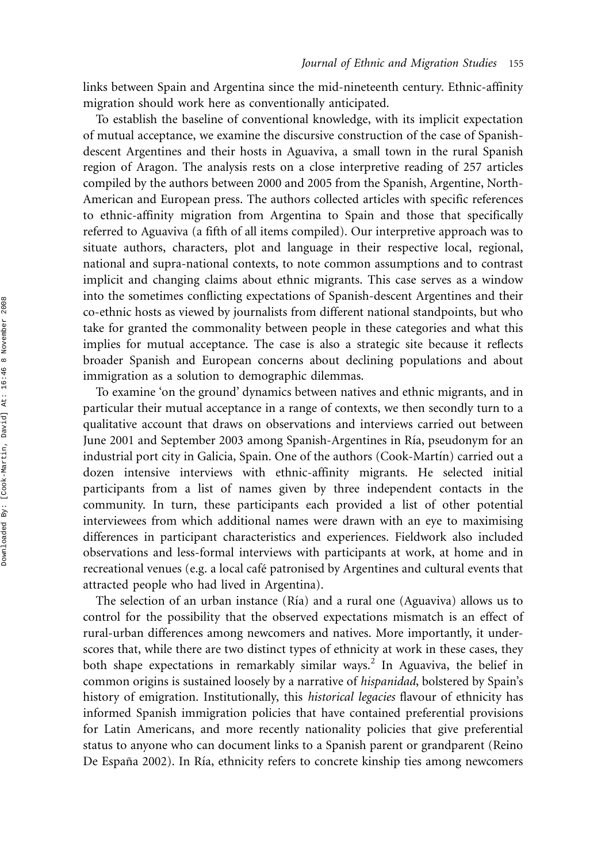links between Spain and Argentina since the mid-nineteenth century. Ethnic-affinity migration should work here as conventionally anticipated.

To establish the baseline of conventional knowledge, with its implicit expectation of mutual acceptance, we examine the discursive construction of the case of Spanishdescent Argentines and their hosts in Aguaviva, a small town in the rural Spanish region of Aragon. The analysis rests on a close interpretive reading of 257 articles compiled by the authors between 2000 and 2005 from the Spanish, Argentine, North-American and European press. The authors collected articles with specific references to ethnic-affinity migration from Argentina to Spain and those that specifically referred to Aguaviva (a fifth of all items compiled). Our interpretive approach was to situate authors, characters, plot and language in their respective local, regional, national and supra-national contexts, to note common assumptions and to contrast implicit and changing claims about ethnic migrants. This case serves as a window into the sometimes conflicting expectations of Spanish-descent Argentines and their co-ethnic hosts as viewed by journalists from different national standpoints, but who take for granted the commonality between people in these categories and what this implies for mutual acceptance. The case is also a strategic site because it reflects broader Spanish and European concerns about declining populations and about immigration as a solution to demographic dilemmas.

To examine 'on the ground' dynamics between natives and ethnic migrants, and in particular their mutual acceptance in a range of contexts, we then secondly turn to a qualitative account that draws on observations and interviews carried out between June 2001 and September 2003 among Spanish-Argentines in Ría, pseudonym for an industrial port city in Galicia, Spain. One of the authors (Cook-Martín) carried out a dozen intensive interviews with ethnic-affinity migrants. He selected initial participants from a list of names given by three independent contacts in the community. In turn, these participants each provided a list of other potential interviewees from which additional names were drawn with an eye to maximising differences in participant characteristics and experiences. Fieldwork also included observations and less-formal interviews with participants at work, at home and in recreational venues (e.g. a local café patronised by Argentines and cultural events that attracted people who had lived in Argentina).

The selection of an urban instance (Ría) and a rural one (Aguaviva) allows us to control for the possibility that the observed expectations mismatch is an effect of rural-urban differences among newcomers and natives. More importantly, it underscores that, while there are two distinct types of ethnicity at work in these cases, they both shape expectations in remarkably similar ways.<sup>2</sup> In Aguaviva, the belief in common origins is sustained loosely by a narrative of hispanidad, bolstered by Spain's history of emigration. Institutionally, this historical legacies flavour of ethnicity has informed Spanish immigration policies that have contained preferential provisions for Latin Americans, and more recently nationality policies that give preferential status to anyone who can document links to a Spanish parent or grandparent (Reino De España 2002). In Ría, ethnicity refers to concrete kinship ties among newcomers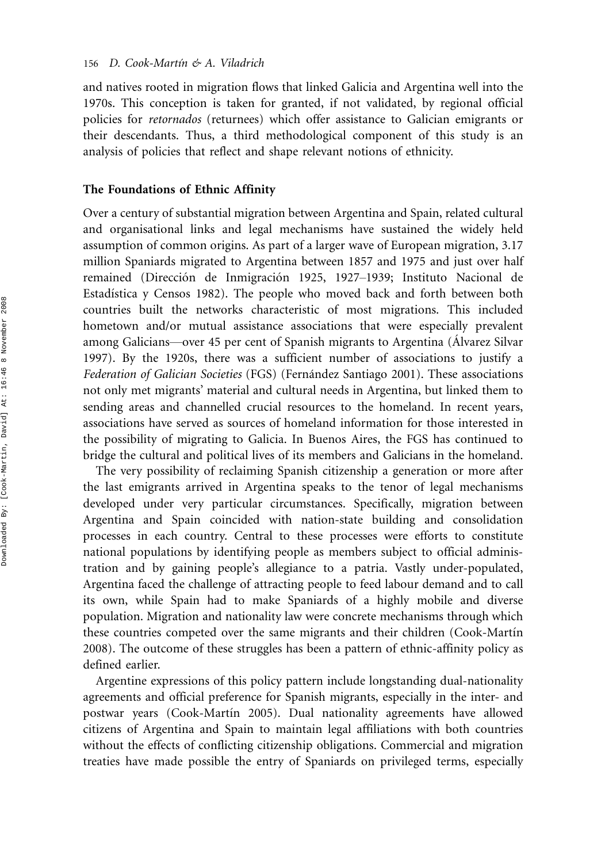and natives rooted in migration flows that linked Galicia and Argentina well into the 1970s. This conception is taken for granted, if not validated, by regional official policies for retornados (returnees) which offer assistance to Galician emigrants or their descendants. Thus, a third methodological component of this study is an analysis of policies that reflect and shape relevant notions of ethnicity.

# The Foundations of Ethnic Affinity

Over a century of substantial migration between Argentina and Spain, related cultural and organisational links and legal mechanisms have sustained the widely held assumption of common origins. As part of a larger wave of European migration, 3.17 million Spaniards migrated to Argentina between 1857 and 1975 and just over half remained (Dirección de Inmigración 1925, 1927-1939; Instituto Nacional de Estadística y Censos 1982). The people who moved back and forth between both countries built the networks characteristic of most migrations. This included hometown and/or mutual assistance associations that were especially prevalent among Galicians—over 45 per cent of Spanish migrants to Argentina (Álvarez Silvar 1997). By the 1920s, there was a sufficient number of associations to justify a Federation of Galician Societies (FGS) (Fernández Santiago 2001). These associations not only met migrants' material and cultural needs in Argentina, but linked them to sending areas and channelled crucial resources to the homeland. In recent years, associations have served as sources of homeland information for those interested in the possibility of migrating to Galicia. In Buenos Aires, the FGS has continued to bridge the cultural and political lives of its members and Galicians in the homeland.

The very possibility of reclaiming Spanish citizenship a generation or more after the last emigrants arrived in Argentina speaks to the tenor of legal mechanisms developed under very particular circumstances. Specifically, migration between Argentina and Spain coincided with nation-state building and consolidation processes in each country. Central to these processes were efforts to constitute national populations by identifying people as members subject to official administration and by gaining people's allegiance to a patria. Vastly under-populated, Argentina faced the challenge of attracting people to feed labour demand and to call its own, while Spain had to make Spaniards of a highly mobile and diverse population. Migration and nationality law were concrete mechanisms through which these countries competed over the same migrants and their children (Cook-Martín) 2008). The outcome of these struggles has been a pattern of ethnic-affinity policy as defined earlier.

Argentine expressions of this policy pattern include longstanding dual-nationality agreements and official preference for Spanish migrants, especially in the inter- and postwar years (Cook-Martín 2005). Dual nationality agreements have allowed citizens of Argentina and Spain to maintain legal affiliations with both countries without the effects of conflicting citizenship obligations. Commercial and migration treaties have made possible the entry of Spaniards on privileged terms, especially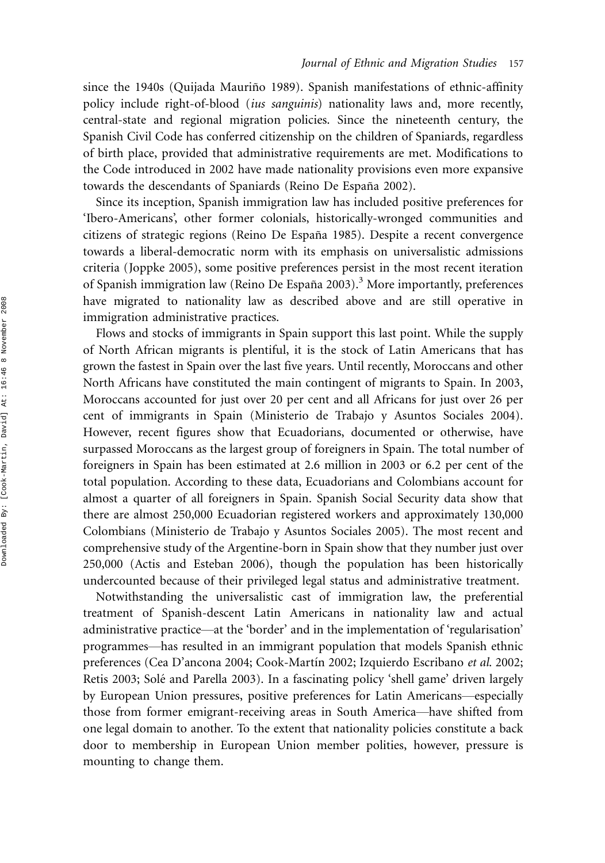since the 1940s (Quijada Mauriño 1989). Spanish manifestations of ethnic-affinity policy include right-of-blood (ius sanguinis) nationality laws and, more recently, central-state and regional migration policies. Since the nineteenth century, the Spanish Civil Code has conferred citizenship on the children of Spaniards, regardless of birth place, provided that administrative requirements are met. Modifications to the Code introduced in 2002 have made nationality provisions even more expansive towards the descendants of Spaniards (Reino De España 2002).

Since its inception, Spanish immigration law has included positive preferences for 'Ibero-Americans', other former colonials, historically-wronged communities and citizens of strategic regions (Reino De España 1985). Despite a recent convergence towards a liberal-democratic norm with its emphasis on universalistic admissions criteria (Joppke 2005), some positive preferences persist in the most recent iteration of Spanish immigration law (Reino De España 2003).<sup>3</sup> More importantly, preferences have migrated to nationality law as described above and are still operative in immigration administrative practices.

Flows and stocks of immigrants in Spain support this last point. While the supply of North African migrants is plentiful, it is the stock of Latin Americans that has grown the fastest in Spain over the last five years. Until recently, Moroccans and other North Africans have constituted the main contingent of migrants to Spain. In 2003, Moroccans accounted for just over 20 per cent and all Africans for just over 26 per cent of immigrants in Spain (Ministerio de Trabajo y Asuntos Sociales 2004). However, recent figures show that Ecuadorians, documented or otherwise, have surpassed Moroccans as the largest group of foreigners in Spain. The total number of foreigners in Spain has been estimated at 2.6 million in 2003 or 6.2 per cent of the total population. According to these data, Ecuadorians and Colombians account for almost a quarter of all foreigners in Spain. Spanish Social Security data show that there are almost 250,000 Ecuadorian registered workers and approximately 130,000 Colombians (Ministerio de Trabajo y Asuntos Sociales 2005). The most recent and comprehensive study of the Argentine-born in Spain show that they number just over 250,000 (Actis and Esteban 2006), though the population has been historically undercounted because of their privileged legal status and administrative treatment.

Notwithstanding the universalistic cast of immigration law, the preferential treatment of Spanish-descent Latin Americans in nationality law and actual administrative practice\*at the 'border' and in the implementation of 'regularisation' programmes\*has resulted in an immigrant population that models Spanish ethnic preferences (Cea D'ancona 2004; Cook-Martín 2002; Izquierdo Escribano et al. 2002; Retis 2003; Solé and Parella 2003). In a fascinating policy 'shell game' driven largely by European Union pressures, positive preferences for Latin Americans—especially those from former emigrant-receiving areas in South America—have shifted from one legal domain to another. To the extent that nationality policies constitute a back door to membership in European Union member polities, however, pressure is mounting to change them.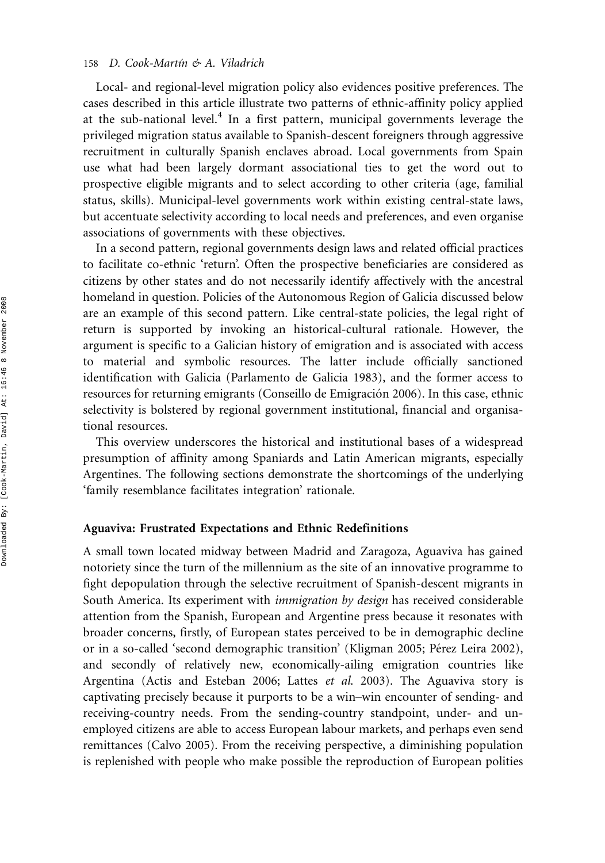#### 158 D. Cook-Martín & A. Viladrich

Local- and regional-level migration policy also evidences positive preferences. The cases described in this article illustrate two patterns of ethnic-affinity policy applied at the sub-national level. $4$  In a first pattern, municipal governments leverage the privileged migration status available to Spanish-descent foreigners through aggressive recruitment in culturally Spanish enclaves abroad. Local governments from Spain use what had been largely dormant associational ties to get the word out to prospective eligible migrants and to select according to other criteria (age, familial status, skills). Municipal-level governments work within existing central-state laws, but accentuate selectivity according to local needs and preferences, and even organise associations of governments with these objectives.

In a second pattern, regional governments design laws and related official practices to facilitate co-ethnic 'return'. Often the prospective beneficiaries are considered as citizens by other states and do not necessarily identify affectively with the ancestral homeland in question. Policies of the Autonomous Region of Galicia discussed below are an example of this second pattern. Like central-state policies, the legal right of return is supported by invoking an historical-cultural rationale. However, the argument is specific to a Galician history of emigration and is associated with access to material and symbolic resources. The latter include officially sanctioned identification with Galicia (Parlamento de Galicia 1983), and the former access to resources for returning emigrants (Conseillo de Emigración 2006). In this case, ethnic selectivity is bolstered by regional government institutional, financial and organisational resources.

This overview underscores the historical and institutional bases of a widespread presumption of affinity among Spaniards and Latin American migrants, especially Argentines. The following sections demonstrate the shortcomings of the underlying 'family resemblance facilitates integration' rationale.

#### Aguaviva: Frustrated Expectations and Ethnic Redefinitions

A small town located midway between Madrid and Zaragoza, Aguaviva has gained notoriety since the turn of the millennium as the site of an innovative programme to fight depopulation through the selective recruitment of Spanish-descent migrants in South America. Its experiment with immigration by design has received considerable attention from the Spanish, European and Argentine press because it resonates with broader concerns, firstly, of European states perceived to be in demographic decline or in a so-called 'second demographic transition' (Kligman 2005; Pérez Leira 2002), and secondly of relatively new, economically-ailing emigration countries like Argentina (Actis and Esteban 2006; Lattes et al. 2003). The Aguaviva story is captivating precisely because it purports to be a win-win encounter of sending- and receiving-country needs. From the sending-country standpoint, under- and unemployed citizens are able to access European labour markets, and perhaps even send remittances (Calvo 2005). From the receiving perspective, a diminishing population is replenished with people who make possible the reproduction of European polities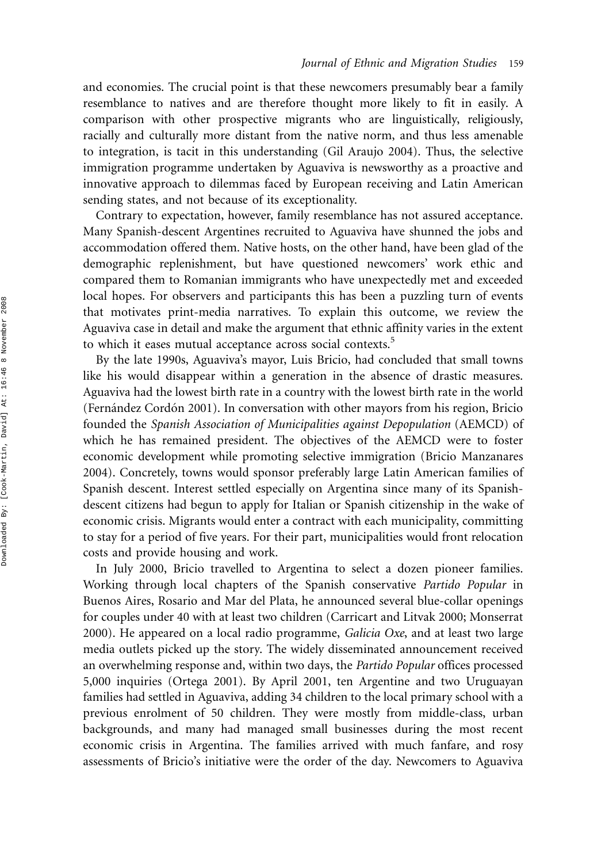and economies. The crucial point is that these newcomers presumably bear a family resemblance to natives and are therefore thought more likely to fit in easily. A comparison with other prospective migrants who are linguistically, religiously, racially and culturally more distant from the native norm, and thus less amenable to integration, is tacit in this understanding (Gil Araujo 2004). Thus, the selective immigration programme undertaken by Aguaviva is newsworthy as a proactive and innovative approach to dilemmas faced by European receiving and Latin American sending states, and not because of its exceptionality.

Contrary to expectation, however, family resemblance has not assured acceptance. Many Spanish-descent Argentines recruited to Aguaviva have shunned the jobs and accommodation offered them. Native hosts, on the other hand, have been glad of the demographic replenishment, but have questioned newcomers' work ethic and compared them to Romanian immigrants who have unexpectedly met and exceeded local hopes. For observers and participants this has been a puzzling turn of events that motivates print-media narratives. To explain this outcome, we review the Aguaviva case in detail and make the argument that ethnic affinity varies in the extent to which it eases mutual acceptance across social contexts.<sup>5</sup>

By the late 1990s, Aguaviva's mayor, Luis Bricio, had concluded that small towns like his would disappear within a generation in the absence of drastic measures. Aguaviva had the lowest birth rate in a country with the lowest birth rate in the world (Fernández Cordón 2001). In conversation with other mayors from his region, Bricio founded the Spanish Association of Municipalities against Depopulation (AEMCD) of which he has remained president. The objectives of the AEMCD were to foster economic development while promoting selective immigration (Bricio Manzanares 2004). Concretely, towns would sponsor preferably large Latin American families of Spanish descent. Interest settled especially on Argentina since many of its Spanishdescent citizens had begun to apply for Italian or Spanish citizenship in the wake of economic crisis. Migrants would enter a contract with each municipality, committing to stay for a period of five years. For their part, municipalities would front relocation costs and provide housing and work.

In July 2000, Bricio travelled to Argentina to select a dozen pioneer families. Working through local chapters of the Spanish conservative Partido Popular in Buenos Aires, Rosario and Mar del Plata, he announced several blue-collar openings for couples under 40 with at least two children (Carricart and Litvak 2000; Monserrat 2000). He appeared on a local radio programme, Galicia Oxe, and at least two large media outlets picked up the story. The widely disseminated announcement received an overwhelming response and, within two days, the Partido Popular offices processed 5,000 inquiries (Ortega 2001). By April 2001, ten Argentine and two Uruguayan families had settled in Aguaviva, adding 34 children to the local primary school with a previous enrolment of 50 children. They were mostly from middle-class, urban backgrounds, and many had managed small businesses during the most recent economic crisis in Argentina. The families arrived with much fanfare, and rosy assessments of Bricio's initiative were the order of the day. Newcomers to Aguaviva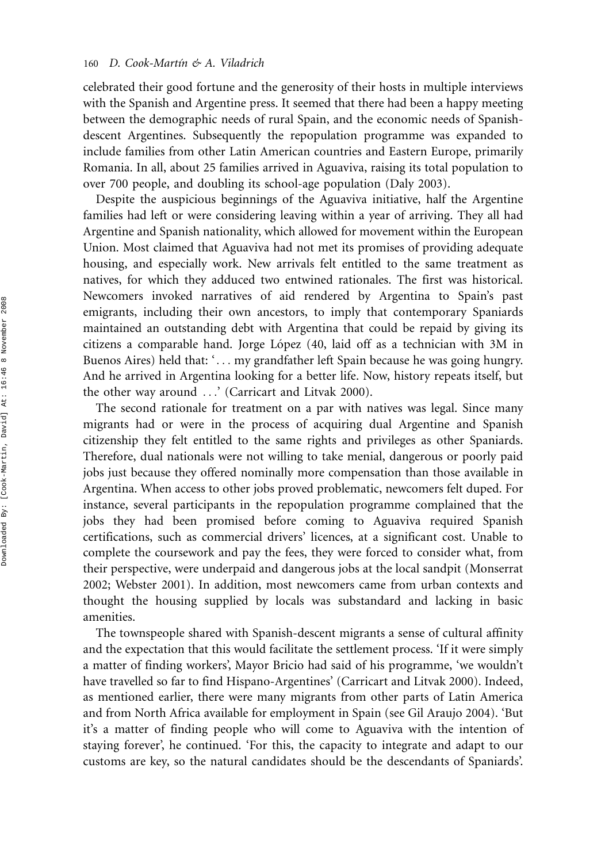celebrated their good fortune and the generosity of their hosts in multiple interviews with the Spanish and Argentine press. It seemed that there had been a happy meeting between the demographic needs of rural Spain, and the economic needs of Spanishdescent Argentines. Subsequently the repopulation programme was expanded to include families from other Latin American countries and Eastern Europe, primarily Romania. In all, about 25 families arrived in Aguaviva, raising its total population to over 700 people, and doubling its school-age population (Daly 2003).

Despite the auspicious beginnings of the Aguaviva initiative, half the Argentine families had left or were considering leaving within a year of arriving. They all had Argentine and Spanish nationality, which allowed for movement within the European Union. Most claimed that Aguaviva had not met its promises of providing adequate housing, and especially work. New arrivals felt entitled to the same treatment as natives, for which they adduced two entwined rationales. The first was historical. Newcomers invoked narratives of aid rendered by Argentina to Spain's past emigrants, including their own ancestors, to imply that contemporary Spaniards maintained an outstanding debt with Argentina that could be repaid by giving its citizens a comparable hand. Jorge López (40, laid off as a technician with 3M in Buenos Aires) held that: '... my grandfather left Spain because he was going hungry. And he arrived in Argentina looking for a better life. Now, history repeats itself, but the other way around ...' (Carricart and Litvak 2000).

The second rationale for treatment on a par with natives was legal. Since many migrants had or were in the process of acquiring dual Argentine and Spanish citizenship they felt entitled to the same rights and privileges as other Spaniards. Therefore, dual nationals were not willing to take menial, dangerous or poorly paid jobs just because they offered nominally more compensation than those available in Argentina. When access to other jobs proved problematic, newcomers felt duped. For instance, several participants in the repopulation programme complained that the jobs they had been promised before coming to Aguaviva required Spanish certifications, such as commercial drivers' licences, at a significant cost. Unable to complete the coursework and pay the fees, they were forced to consider what, from their perspective, were underpaid and dangerous jobs at the local sandpit (Monserrat 2002; Webster 2001). In addition, most newcomers came from urban contexts and thought the housing supplied by locals was substandard and lacking in basic amenities.

The townspeople shared with Spanish-descent migrants a sense of cultural affinity and the expectation that this would facilitate the settlement process. 'If it were simply a matter of finding workers', Mayor Bricio had said of his programme, 'we wouldn't have travelled so far to find Hispano-Argentines' (Carricart and Litvak 2000). Indeed, as mentioned earlier, there were many migrants from other parts of Latin America and from North Africa available for employment in Spain (see Gil Araujo 2004). 'But it's a matter of finding people who will come to Aguaviva with the intention of staying forever', he continued. 'For this, the capacity to integrate and adapt to our customs are key, so the natural candidates should be the descendants of Spaniards'.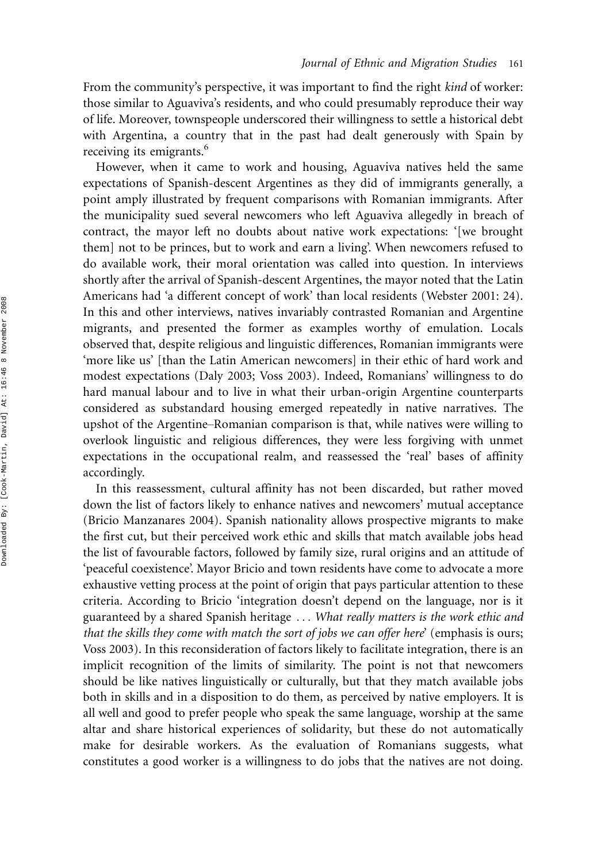From the community's perspective, it was important to find the right kind of worker: those similar to Aguaviva's residents, and who could presumably reproduce their way of life. Moreover, townspeople underscored their willingness to settle a historical debt with Argentina, a country that in the past had dealt generously with Spain by receiving its emigrants.<sup>6</sup>

However, when it came to work and housing, Aguaviva natives held the same expectations of Spanish-descent Argentines as they did of immigrants generally, a point amply illustrated by frequent comparisons with Romanian immigrants. After the municipality sued several newcomers who left Aguaviva allegedly in breach of contract, the mayor left no doubts about native work expectations: '[we brought them] not to be princes, but to work and earn a living'. When newcomers refused to do available work, their moral orientation was called into question. In interviews shortly after the arrival of Spanish-descent Argentines, the mayor noted that the Latin Americans had 'a different concept of work' than local residents (Webster 2001: 24). In this and other interviews, natives invariably contrasted Romanian and Argentine migrants, and presented the former as examples worthy of emulation. Locals observed that, despite religious and linguistic differences, Romanian immigrants were 'more like us' [than the Latin American newcomers] in their ethic of hard work and modest expectations (Daly 2003; Voss 2003). Indeed, Romanians' willingness to do hard manual labour and to live in what their urban-origin Argentine counterparts considered as substandard housing emerged repeatedly in native narratives. The upshot of the Argentine–Romanian comparison is that, while natives were willing to overlook linguistic and religious differences, they were less forgiving with unmet expectations in the occupational realm, and reassessed the 'real' bases of affinity accordingly.

In this reassessment, cultural affinity has not been discarded, but rather moved down the list of factors likely to enhance natives and newcomers' mutual acceptance (Bricio Manzanares 2004). Spanish nationality allows prospective migrants to make the first cut, but their perceived work ethic and skills that match available jobs head the list of favourable factors, followed by family size, rural origins and an attitude of 'peaceful coexistence'. Mayor Bricio and town residents have come to advocate a more exhaustive vetting process at the point of origin that pays particular attention to these criteria. According to Bricio 'integration doesn't depend on the language, nor is it guaranteed by a shared Spanish heritage ... What really matters is the work ethic and that the skills they come with match the sort of jobs we can offer here' (emphasis is ours; Voss 2003). In this reconsideration of factors likely to facilitate integration, there is an implicit recognition of the limits of similarity. The point is not that newcomers should be like natives linguistically or culturally, but that they match available jobs both in skills and in a disposition to do them, as perceived by native employers. It is all well and good to prefer people who speak the same language, worship at the same altar and share historical experiences of solidarity, but these do not automatically make for desirable workers. As the evaluation of Romanians suggests, what constitutes a good worker is a willingness to do jobs that the natives are not doing.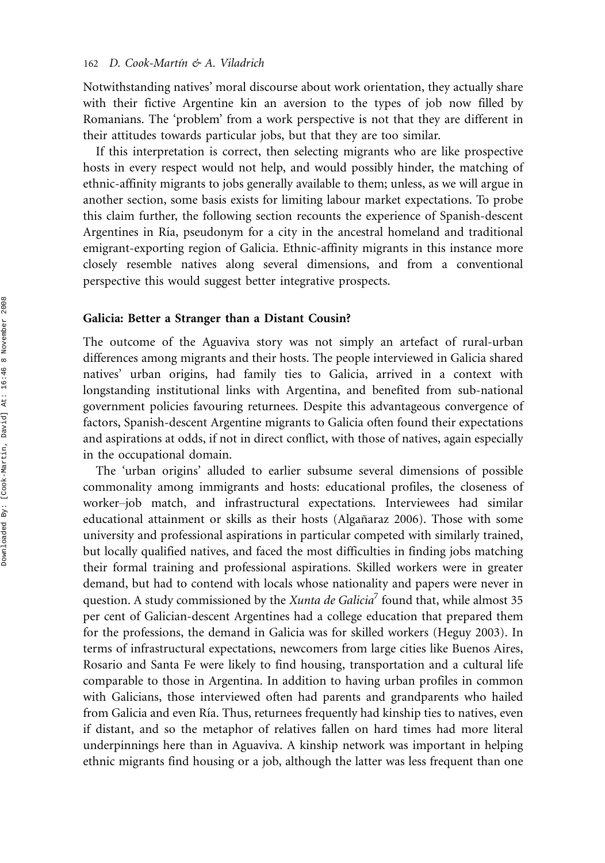Notwithstanding natives' moral discourse about work orientation, they actually share with their fictive Argentine kin an aversion to the types of job now filled by Romanians. The 'problem' from a work perspective is not that they are different in their attitudes towards particular jobs, but that they are too similar.

If this interpretation is correct, then selecting migrants who are like prospective hosts in every respect would not help, and would possibly hinder, the matching of ethnic-affinity migrants to jobs generally available to them; unless, as we will argue in another section, some basis exists for limiting labour market expectations. To probe this claim further, the following section recounts the experience of Spanish-descent Argentines in Ría, pseudonym for a city in the ancestral homeland and traditional emigrant-exporting region of Galicia. Ethnic-affinity migrants in this instance more closely resemble natives along several dimensions, and from a conventional perspective this would suggest better integrative prospects.

#### Galicia: Better a Stranger than a Distant Cousin?

The outcome of the Aguaviva story was not simply an artefact of rural-urban differences among migrants and their hosts. The people interviewed in Galicia shared natives' urban origins, had family ties to Galicia, arrived in a context with longstanding institutional links with Argentina, and benefited from sub-national government policies favouring returnees. Despite this advantageous convergence of factors, Spanish-descent Argentine migrants to Galicia often found their expectations and aspirations at odds, if not in direct conflict, with those of natives, again especially in the occupational domain.

The 'urban origins' alluded to earlier subsume several dimensions of possible commonality among immigrants and hosts: educational profiles, the closeness of worker-job match, and infrastructural expectations. Interviewees had similar educational attainment or skills as their hosts (Algañaraz 2006). Those with some university and professional aspirations in particular competed with similarly trained, but locally qualified natives, and faced the most difficulties in finding jobs matching their formal training and professional aspirations. Skilled workers were in greater demand, but had to contend with locals whose nationality and papers were never in question. A study commissioned by the *Xunta de Galicia*<sup>7</sup> found that, while almost 35 per cent of Galician-descent Argentines had a college education that prepared them for the professions, the demand in Galicia was for skilled workers (Heguy 2003). In terms of infrastructural expectations, newcomers from large cities like Buenos Aires, Rosario and Santa Fe were likely to find housing, transportation and a cultural life comparable to those in Argentina. In addition to having urban profiles in common with Galicians, those interviewed often had parents and grandparents who hailed from Galicia and even Ría. Thus, returnees frequently had kinship ties to natives, even if distant, and so the metaphor of relatives fallen on hard times had more literal underpinnings here than in Aguaviva. A kinship network was important in helping ethnic migrants find housing or a job, although the latter was less frequent than one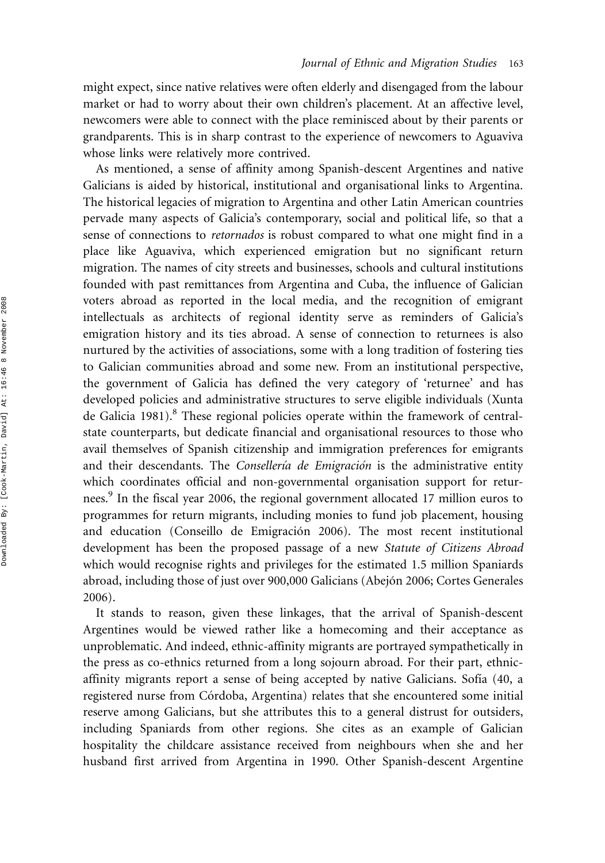might expect, since native relatives were often elderly and disengaged from the labour market or had to worry about their own children's placement. At an affective level, newcomers were able to connect with the place reminisced about by their parents or grandparents. This is in sharp contrast to the experience of newcomers to Aguaviva whose links were relatively more contrived.

As mentioned, a sense of affinity among Spanish-descent Argentines and native Galicians is aided by historical, institutional and organisational links to Argentina. The historical legacies of migration to Argentina and other Latin American countries pervade many aspects of Galicia's contemporary, social and political life, so that a sense of connections to *retornados* is robust compared to what one might find in a place like Aguaviva, which experienced emigration but no significant return migration. The names of city streets and businesses, schools and cultural institutions founded with past remittances from Argentina and Cuba, the influence of Galician voters abroad as reported in the local media, and the recognition of emigrant intellectuals as architects of regional identity serve as reminders of Galicia's emigration history and its ties abroad. A sense of connection to returnees is also nurtured by the activities of associations, some with a long tradition of fostering ties to Galician communities abroad and some new. From an institutional perspective, the government of Galicia has defined the very category of 'returnee' and has developed policies and administrative structures to serve eligible individuals (Xunta de Galicia 1981).<sup>8</sup> These regional policies operate within the framework of centralstate counterparts, but dedicate financial and organisational resources to those who avail themselves of Spanish citizenship and immigration preferences for emigrants and their descendants. The *Consellería de Emigración* is the administrative entity which coordinates official and non-governmental organisation support for returnees.<sup>9</sup> In the fiscal year 2006, the regional government allocated 17 million euros to programmes for return migrants, including monies to fund job placement, housing and education (Conseillo de Emigración 2006). The most recent institutional development has been the proposed passage of a new Statute of Citizens Abroad which would recognise rights and privileges for the estimated 1.5 million Spaniards abroad, including those of just over 900,000 Galicians (Abejón 2006; Cortes Generales 2006).

It stands to reason, given these linkages, that the arrival of Spanish-descent Argentines would be viewed rather like a homecoming and their acceptance as unproblematic. And indeed, ethnic-affinity migrants are portrayed sympathetically in the press as co-ethnics returned from a long sojourn abroad. For their part, ethnicaffinity migrants report a sense of being accepted by native Galicians. Sofía (40, a registered nurse from Córdoba, Argentina) relates that she encountered some initial reserve among Galicians, but she attributes this to a general distrust for outsiders, including Spaniards from other regions. She cites as an example of Galician hospitality the childcare assistance received from neighbours when she and her husband first arrived from Argentina in 1990. Other Spanish-descent Argentine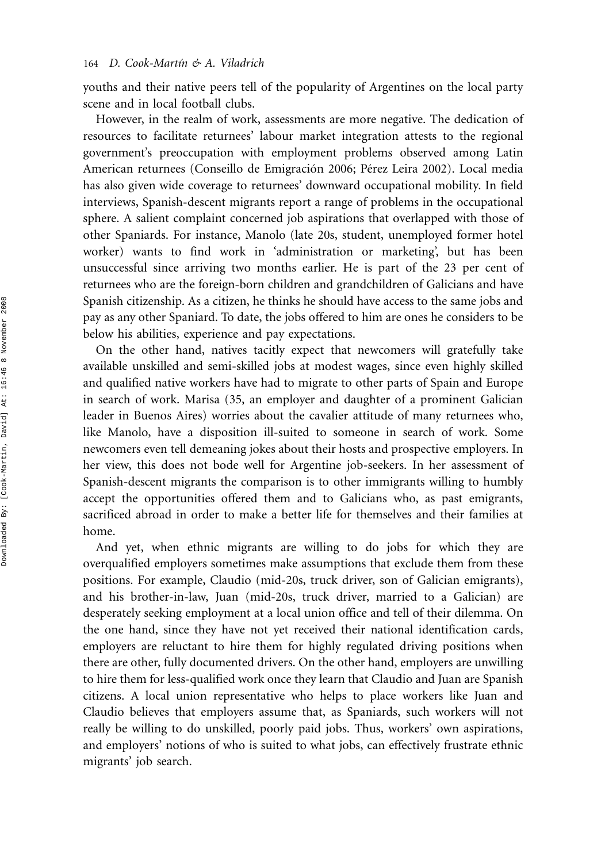youths and their native peers tell of the popularity of Argentines on the local party scene and in local football clubs.

However, in the realm of work, assessments are more negative. The dedication of resources to facilitate returnees' labour market integration attests to the regional government's preoccupation with employment problems observed among Latin American returnees (Conseillo de Emigración 2006; Pérez Leira 2002). Local media has also given wide coverage to returnees' downward occupational mobility. In field interviews, Spanish-descent migrants report a range of problems in the occupational sphere. A salient complaint concerned job aspirations that overlapped with those of other Spaniards. For instance, Manolo (late 20s, student, unemployed former hotel worker) wants to find work in 'administration or marketing', but has been unsuccessful since arriving two months earlier. He is part of the 23 per cent of returnees who are the foreign-born children and grandchildren of Galicians and have Spanish citizenship. As a citizen, he thinks he should have access to the same jobs and pay as any other Spaniard. To date, the jobs offered to him are ones he considers to be below his abilities, experience and pay expectations.

On the other hand, natives tacitly expect that newcomers will gratefully take available unskilled and semi-skilled jobs at modest wages, since even highly skilled and qualified native workers have had to migrate to other parts of Spain and Europe in search of work. Marisa (35, an employer and daughter of a prominent Galician leader in Buenos Aires) worries about the cavalier attitude of many returnees who, like Manolo, have a disposition ill-suited to someone in search of work. Some newcomers even tell demeaning jokes about their hosts and prospective employers. In her view, this does not bode well for Argentine job-seekers. In her assessment of Spanish-descent migrants the comparison is to other immigrants willing to humbly accept the opportunities offered them and to Galicians who, as past emigrants, sacrificed abroad in order to make a better life for themselves and their families at home.

And yet, when ethnic migrants are willing to do jobs for which they are overqualified employers sometimes make assumptions that exclude them from these positions. For example, Claudio (mid-20s, truck driver, son of Galician emigrants), and his brother-in-law, Juan (mid-20s, truck driver, married to a Galician) are desperately seeking employment at a local union office and tell of their dilemma. On the one hand, since they have not yet received their national identification cards, employers are reluctant to hire them for highly regulated driving positions when there are other, fully documented drivers. On the other hand, employers are unwilling to hire them for less-qualified work once they learn that Claudio and Juan are Spanish citizens. A local union representative who helps to place workers like Juan and Claudio believes that employers assume that, as Spaniards, such workers will not really be willing to do unskilled, poorly paid jobs. Thus, workers' own aspirations, and employers' notions of who is suited to what jobs, can effectively frustrate ethnic migrants' job search.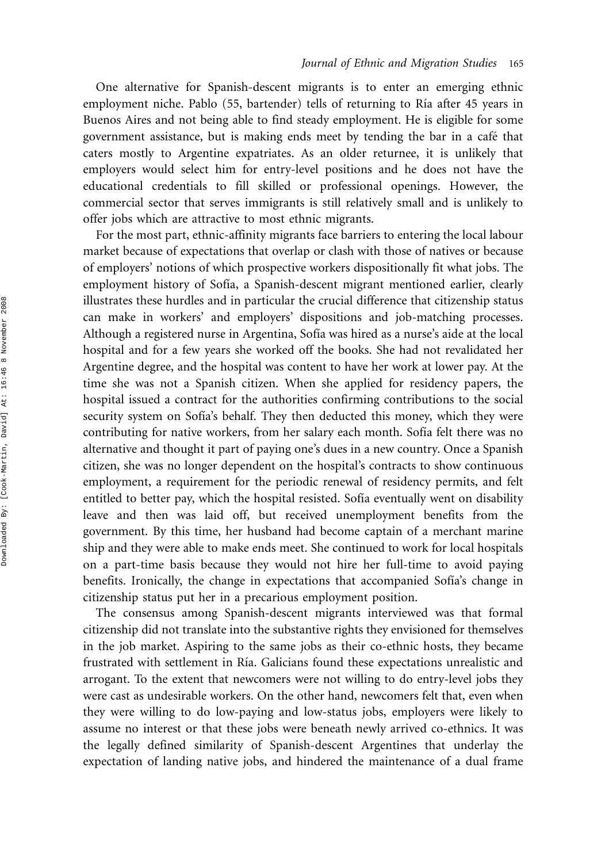One alternative for Spanish-descent migrants is to enter an emerging ethnic employment niche. Pablo (55, bartender) tells of returning to Ría after 45 years in Buenos Aires and not being able to find steady employment. He is eligible for some government assistance, but is making ends meet by tending the bar in a cafe´ that caters mostly to Argentine expatriates. As an older returnee, it is unlikely that employers would select him for entry-level positions and he does not have the educational credentials to fill skilled or professional openings. However, the commercial sector that serves immigrants is still relatively small and is unlikely to offer jobs which are attractive to most ethnic migrants.

For the most part, ethnic-affinity migrants face barriers to entering the local labour market because of expectations that overlap or clash with those of natives or because of employers' notions of which prospective workers dispositionally fit what jobs. The employment history of Sofía, a Spanish-descent migrant mentioned earlier, clearly illustrates these hurdles and in particular the crucial difference that citizenship status can make in workers' and employers' dispositions and job-matching processes. Although a registered nurse in Argentina, Sofía was hired as a nurse's aide at the local hospital and for a few years she worked off the books. She had not revalidated her Argentine degree, and the hospital was content to have her work at lower pay. At the time she was not a Spanish citizen. When she applied for residency papers, the hospital issued a contract for the authorities confirming contributions to the social security system on Sofía's behalf. They then deducted this money, which they were contributing for native workers, from her salary each month. Sofia felt there was no alternative and thought it part of paying one's dues in a new country. Once a Spanish citizen, she was no longer dependent on the hospital's contracts to show continuous employment, a requirement for the periodic renewal of residency permits, and felt entitled to better pay, which the hospital resisted. Sofía eventually went on disability leave and then was laid off, but received unemployment benefits from the government. By this time, her husband had become captain of a merchant marine ship and they were able to make ends meet. She continued to work for local hospitals on a part-time basis because they would not hire her full-time to avoid paying benefits. Ironically, the change in expectations that accompanied Sofía's change in citizenship status put her in a precarious employment position.

The consensus among Spanish-descent migrants interviewed was that formal citizenship did not translate into the substantive rights they envisioned for themselves in the job market. Aspiring to the same jobs as their co-ethnic hosts, they became frustrated with settlement in Ría. Galicians found these expectations unrealistic and arrogant. To the extent that newcomers were not willing to do entry-level jobs they were cast as undesirable workers. On the other hand, newcomers felt that, even when they were willing to do low-paying and low-status jobs, employers were likely to assume no interest or that these jobs were beneath newly arrived co-ethnics. It was the legally defined similarity of Spanish-descent Argentines that underlay the expectation of landing native jobs, and hindered the maintenance of a dual frame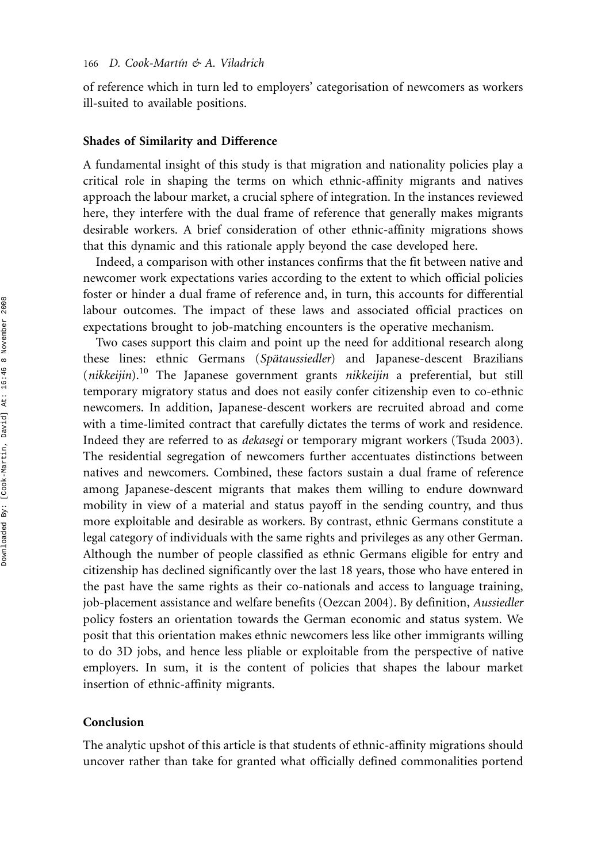of reference which in turn led to employers' categorisation of newcomers as workers ill-suited to available positions.

#### Shades of Similarity and Difference

A fundamental insight of this study is that migration and nationality policies play a critical role in shaping the terms on which ethnic-affinity migrants and natives approach the labour market, a crucial sphere of integration. In the instances reviewed here, they interfere with the dual frame of reference that generally makes migrants desirable workers. A brief consideration of other ethnic-affinity migrations shows that this dynamic and this rationale apply beyond the case developed here.

Indeed, a comparison with other instances confirms that the fit between native and newcomer work expectations varies according to the extent to which official policies foster or hinder a dual frame of reference and, in turn, this accounts for differential labour outcomes. The impact of these laws and associated official practices on expectations brought to job-matching encounters is the operative mechanism.

Two cases support this claim and point up the need for additional research along these lines: ethnic Germans (Spätaussiedler) and Japanese-descent Brazilians  $(nikkeijin).$ <sup>10</sup> The Japanese government grants nikkeijin a preferential, but still temporary migratory status and does not easily confer citizenship even to co-ethnic newcomers. In addition, Japanese-descent workers are recruited abroad and come with a time-limited contract that carefully dictates the terms of work and residence. Indeed they are referred to as dekasegi or temporary migrant workers (Tsuda 2003). The residential segregation of newcomers further accentuates distinctions between natives and newcomers. Combined, these factors sustain a dual frame of reference among Japanese-descent migrants that makes them willing to endure downward mobility in view of a material and status payoff in the sending country, and thus more exploitable and desirable as workers. By contrast, ethnic Germans constitute a legal category of individuals with the same rights and privileges as any other German. Although the number of people classified as ethnic Germans eligible for entry and citizenship has declined significantly over the last 18 years, those who have entered in the past have the same rights as their co-nationals and access to language training, job-placement assistance and welfare benefits (Oezcan 2004). By definition, Aussiedler policy fosters an orientation towards the German economic and status system. We posit that this orientation makes ethnic newcomers less like other immigrants willing to do 3D jobs, and hence less pliable or exploitable from the perspective of native employers. In sum, it is the content of policies that shapes the labour market insertion of ethnic-affinity migrants.

#### Conclusion

The analytic upshot of this article is that students of ethnic-affinity migrations should uncover rather than take for granted what officially defined commonalities portend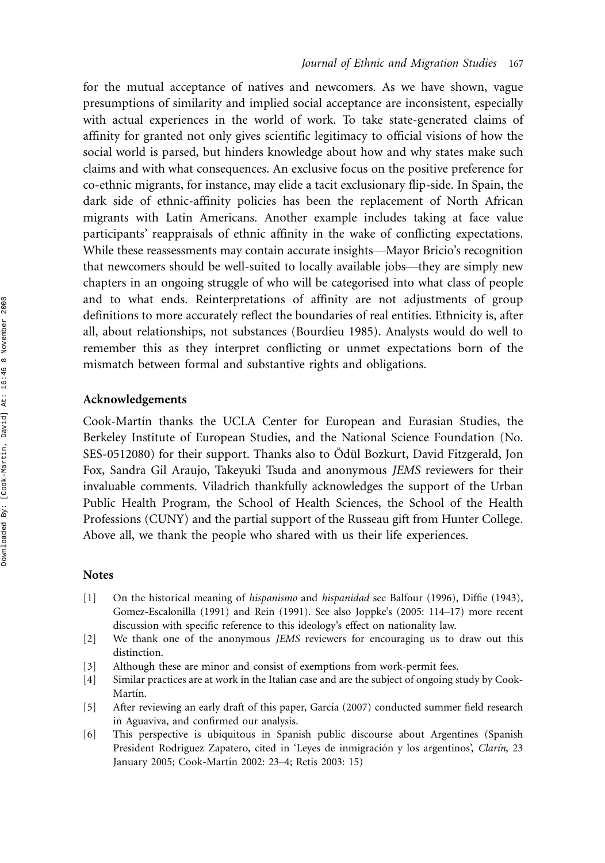for the mutual acceptance of natives and newcomers. As we have shown, vague presumptions of similarity and implied social acceptance are inconsistent, especially with actual experiences in the world of work. To take state-generated claims of affinity for granted not only gives scientific legitimacy to official visions of how the social world is parsed, but hinders knowledge about how and why states make such claims and with what consequences. An exclusive focus on the positive preference for co-ethnic migrants, for instance, may elide a tacit exclusionary flip-side. In Spain, the dark side of ethnic-affinity policies has been the replacement of North African migrants with Latin Americans. Another example includes taking at face value participants' reappraisals of ethnic affinity in the wake of conflicting expectations. While these reassessments may contain accurate insights-Mayor Bricio's recognition that newcomers should be well-suited to locally available jobs—they are simply new chapters in an ongoing struggle of who will be categorised into what class of people and to what ends. Reinterpretations of affinity are not adjustments of group definitions to more accurately reflect the boundaries of real entities. Ethnicity is, after all, about relationships, not substances (Bourdieu 1985). Analysts would do well to remember this as they interpret conflicting or unmet expectations born of the mismatch between formal and substantive rights and obligations.

# Acknowledgements

Cook-Martín thanks the UCLA Center for European and Eurasian Studies, the Berkeley Institute of European Studies, and the National Science Foundation (No. SES-0512080) for their support. Thanks also to Ödül Bozkurt, David Fitzgerald, Jon Fox, Sandra Gil Araujo, Takeyuki Tsuda and anonymous JEMS reviewers for their invaluable comments. Viladrich thankfully acknowledges the support of the Urban Public Health Program, the School of Health Sciences, the School of the Health Professions (CUNY) and the partial support of the Russeau gift from Hunter College. Above all, we thank the people who shared with us their life experiences.

# **Notes**

- [1] On the historical meaning of hispanismo and hispanidad see Balfour (1996), Diffie (1943), Gomez-Escalonilla (1991) and Rein (1991). See also Joppke's (2005: 114–17) more recent discussion with specific reference to this ideology's effect on nationality law.
- [2] We thank one of the anonymous JEMS reviewers for encouraging us to draw out this distinction.
- [3] Although these are minor and consist of exemptions from work-permit fees.
- [4] Similar practices are at work in the Italian case and are the subject of ongoing study by Cook-Martín.
- [5] After reviewing an early draft of this paper, García (2007) conducted summer field research in Aguaviva, and confirmed our analysis.
- [6] This perspective is ubiquitous in Spanish public discourse about Argentines (Spanish President Rodriguez Zapatero, cited in 'Leyes de inmigración y los argentinos', Clarín, 23 January 2005; Cook-Martín 2002: 23-4; Retis 2003: 15)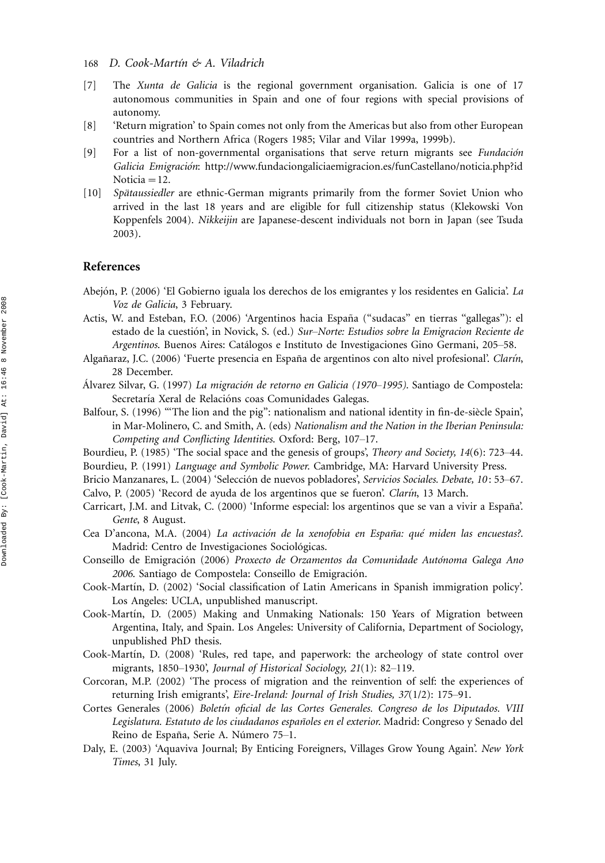- 168 D. Cook-Martín & A. Viladrich
- [7] The Xunta de Galicia is the regional government organisation. Galicia is one of 17 autonomous communities in Spain and one of four regions with special provisions of autonomy.
- [8] 'Return migration' to Spain comes not only from the Americas but also from other European countries and Northern Africa (Rogers 1985; Vilar and Vilar 1999a, 1999b).
- [9] For a list of non-governmental organisations that serve return migrants see *Fundación* Galicia Emigración: http://www.fundaciongaliciaemigracion.es/funCastellano/noticia.php?id Noticia  $=12$ .
- [10] Spätaussiedler are ethnic-German migrants primarily from the former Soviet Union who arrived in the last 18 years and are eligible for full citizenship status (Klekowski Von Koppenfels 2004). Nikkeijin are Japanese-descent individuals not born in Japan (see Tsuda 2003).

# References

- Abejón, P. (2006) 'El Gobierno iguala los derechos de los emigrantes y los residentes en Galicia'. La Voz de Galicia, 3 February.
- Actis, W. and Esteban, F.O. (2006) 'Argentinos hacia España ("sudacas" en tierras "gallegas"): el estado de la cuestión', in Novick, S. (ed.) Sur-Norte: Estudios sobre la Emigracion Reciente de Argentinos. Buenos Aires: Catálogos e Instituto de Investigaciones Gino Germani, 205-58.
- Algañaraz, J.C. (2006) 'Fuerte presencia en España de argentinos con alto nivel profesional'. Clarín, 28 December.
- Álvarez Silvar, G. (1997) La migración de retorno en Galicia (1970–1995). Santiago de Compostela: Secretaría Xeral de Relacións coas Comunidades Galegas.
- Balfour, S. (1996) "The lion and the pig": nationalism and national identity in fin-de-siècle Spain', in Mar-Molinero, C. and Smith, A. (eds) Nationalism and the Nation in the Iberian Peninsula: Competing and Conflicting Identities. Oxford: Berg, 107-17.
- Bourdieu, P. (1985) 'The social space and the genesis of groups', Theory and Society,  $14(6)$ : 723–44. Bourdieu, P. (1991) Language and Symbolic Power. Cambridge, MA: Harvard University Press.
- Bricio Manzanares, L. (2004) 'Selección de nuevos pobladores', Servicios Sociales. Debate, 10: 53–67. Calvo, P. (2005) 'Record de ayuda de los argentinos que se fueron'. Clarín, 13 March.
- Carricart, J.M. and Litvak, C. (2000) 'Informe especial: los argentinos que se van a vivir a España'. Gente, 8 August.
- Cea D'ancona, M.A. (2004) La activación de la xenofobia en España: qué miden las encuestas?. Madrid: Centro de Investigaciones Sociológicas.
- Conseillo de Emigración (2006) Proxecto de Orzamentos da Comunidade Autónoma Galega Ano 2006. Santiago de Compostela: Conseillo de Emigración.
- Cook-Martín, D. (2002) 'Social classification of Latin Americans in Spanish immigration policy'. Los Angeles: UCLA, unpublished manuscript.
- Cook-Martín, D. (2005) Making and Unmaking Nationals: 150 Years of Migration between Argentina, Italy, and Spain. Los Angeles: University of California, Department of Sociology, unpublished PhD thesis.
- Cook-Martín, D. (2008) 'Rules, red tape, and paperwork: the archeology of state control over migrants, 1850-1930', Journal of Historical Sociology, 21(1): 82-119.
- Corcoran, M.P. (2002) 'The process of migration and the reinvention of self: the experiences of returning Irish emigrants', Eire-Ireland: Journal of Irish Studies, 37(1/2): 175-91.
- Cortes Generales (2006) Boletín oficial de las Cortes Generales. Congreso de los Diputados. VIII Legislatura. Estatuto de los ciudadanos españoles en el exterior. Madrid: Congreso y Senado del Reino de España, Serie A. Número 75-1.
- Daly, E. (2003) 'Aquaviva Journal; By Enticing Foreigners, Villages Grow Young Again'. New York Times, 31 July.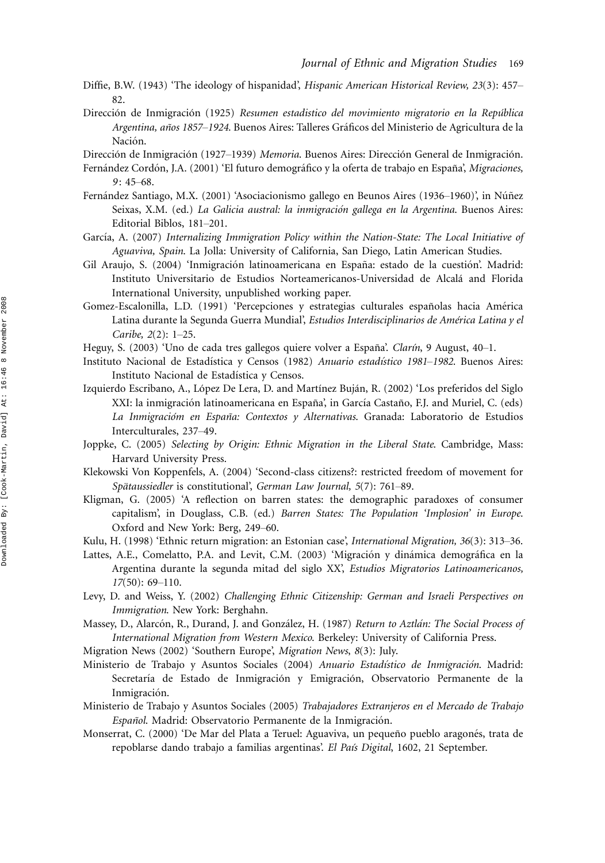- Diffie, B.W. (1943) 'The ideology of hispanidad', Hispanic American Historical Review, 23(3): 457 82.
- Dirección de Inmigración (1925) Resumen estadistico del movimiento migratorio en la República Argentina, años 1857-1924. Buenos Aires: Talleres Gráficos del Ministerio de Agricultura de la Nación.

Dirección de Inmigración (1927–1939) Memoria. Buenos Aires: Dirección General de Inmigración.

- Fernández Cordón, J.A. (2001) 'El futuro demográfico y la oferta de trabajo en España', Migraciones,  $9:45-68.$
- Fernández Santiago, M.X. (2001) 'Asociacionismo gallego en Beunos Aires (1936-1960)', in Núñez Seixas, X.M. (ed.) La Galicia austral: la inmigración gallega en la Argentina. Buenos Aires: Editorial Biblos, 181-201.
- García, A. (2007) Internalizing Immigration Policy within the Nation-State: The Local Initiative of Aguaviva, Spain. La Jolla: University of California, San Diego, Latin American Studies.
- Gil Araujo, S. (2004) 'Inmigración latinoamericana en España: estado de la cuestión'. Madrid: Instituto Universitario de Estudios Norteamericanos-Universidad de Alcala´ and Florida International University, unpublished working paper.
- Gomez-Escalonilla, L.D. (1991) 'Percepciones y estrategias culturales españolas hacia América Latina durante la Segunda Guerra Mundial', Estudios Interdisciplinarios de América Latina y el Caribe,  $2(2)$ : 1-25.
- Heguy, S. (2003) 'Uno de cada tres gallegos quiere volver a España'. Clarín, 9 August, 40-1.
- Instituto Nacional de Estadística y Censos (1982) Anuario estadístico 1981-1982. Buenos Aires: Instituto Nacional de Estadística y Censos.
- Izquierdo Escribano, A., López De Lera, D. and Martínez Buján, R. (2002) 'Los preferidos del Siglo XXI: la inmigración latinoamericana en España', in García Castaño, F.J. and Muriel, C. (eds) La Inmigracióm en España: Contextos y Alternativas. Granada: Laboratorio de Estudios Interculturales, 237-49.
- Joppke, C. (2005) Selecting by Origin: Ethnic Migration in the Liberal State. Cambridge, Mass: Harvard University Press.
- Klekowski Von Koppenfels, A. (2004) 'Second-class citizens?: restricted freedom of movement for Spätaussiedler is constitutional', German Law Journal, 5(7): 761–89.
- Kligman, G. (2005) 'A reflection on barren states: the demographic paradoxes of consumer capitalism', in Douglass, C.B. (ed.) Barren States: The Population 'Implosion' in Europe. Oxford and New York: Berg, 249-60.
- Kulu, H. (1998) 'Ethnic return migration: an Estonian case', International Migration, 36(3): 313-36.
- Lattes, A.E., Comelatto, P.A. and Levit, C.M. (2003) 'Migración y dinámica demográfica en la Argentina durante la segunda mitad del siglo XX', Estudios Migratorios Latinoamericanos,  $17(50): 69-110.$
- Levy, D. and Weiss, Y. (2002) Challenging Ethnic Citizenship: German and Israeli Perspectives on Immigration. New York: Berghahn.
- Massey, D., Alarcón, R., Durand, J. and González, H. (1987) Return to Aztlán: The Social Process of International Migration from Western Mexico. Berkeley: University of California Press.
- Migration News (2002) 'Southern Europe', Migration News, 8(3): July.
- Ministerio de Trabajo y Asuntos Sociales (2004) Anuario Estadístico de Inmigración. Madrid: Secretaría de Estado de Inmigración y Emigración, Observatorio Permanente de la Inmigración.
- Ministerio de Trabajo y Asuntos Sociales (2005) Trabajadores Extranjeros en el Mercado de Trabajo Español. Madrid: Observatorio Permanente de la Inmigración.
- Monserrat, C. (2000) 'De Mar del Plata a Teruel: Aguaviva, un pequeño pueblo aragonés, trata de repoblarse dando trabajo a familias argentinas'. El País Digital, 1602, 21 September.